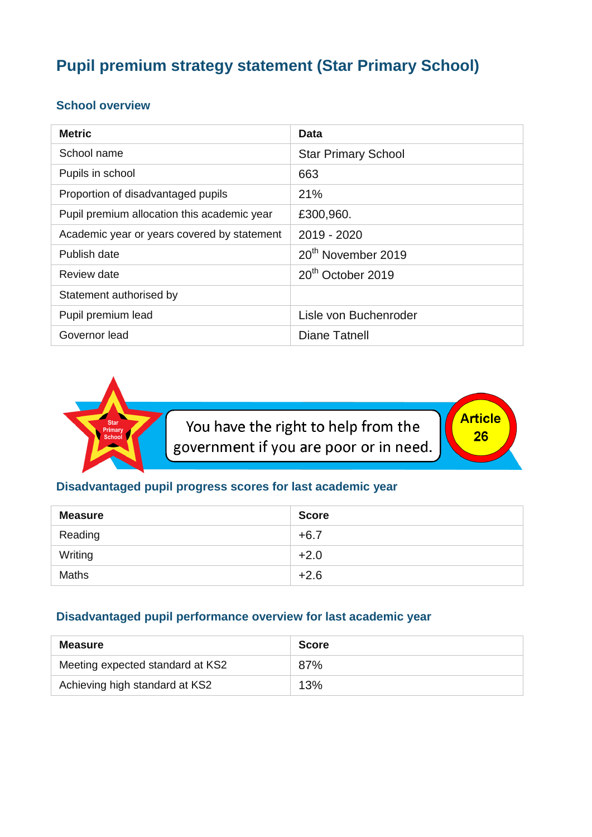# **Pupil premium strategy statement (Star Primary School)**

#### **School overview**

| <b>Metric</b>                               | Data                           |
|---------------------------------------------|--------------------------------|
| School name                                 | <b>Star Primary School</b>     |
| Pupils in school                            | 663                            |
| Proportion of disadvantaged pupils          | 21%                            |
| Pupil premium allocation this academic year | £300,960.                      |
| Academic year or years covered by statement | $2019 - 2020$                  |
| Publish date                                | 20 <sup>th</sup> November 2019 |
| Review date                                 | 20 <sup>th</sup> October 2019  |
| Statement authorised by                     |                                |
| Pupil premium lead                          | Lisle von Buchenroder          |
| Governor lead                               | Diane Tatnell                  |



You have the right to help from the government if you are poor or in need. Article  $26$ 

### **Disadvantaged pupil progress scores for last academic year**

| <b>Measure</b> | <b>Score</b> |
|----------------|--------------|
| Reading        | $+6.7$       |
| Writing        | $+2.0$       |
| <b>Maths</b>   | $+2.6$       |

### **Disadvantaged pupil performance overview for last academic year**

| Measure                          | <b>Score</b> |
|----------------------------------|--------------|
| Meeting expected standard at KS2 | 87%          |
| Achieving high standard at KS2   | 13%          |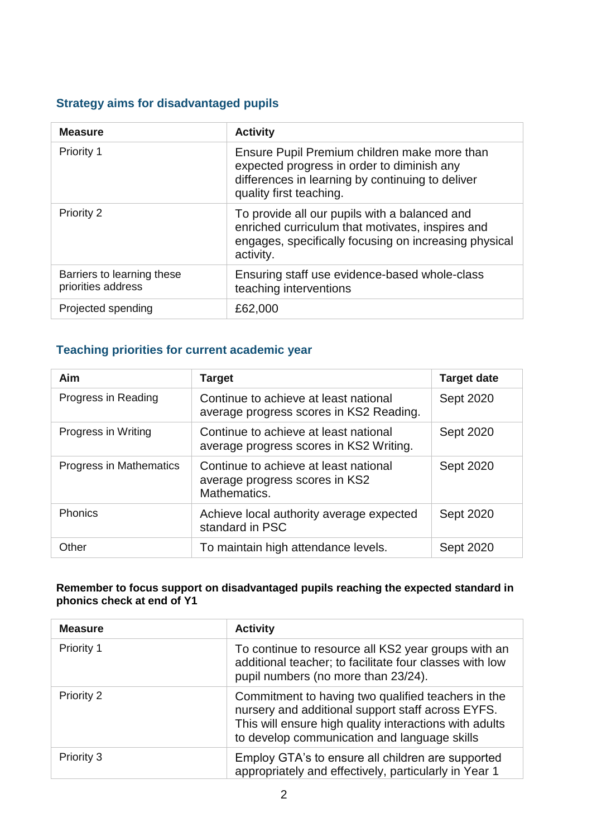### **Strategy aims for disadvantaged pupils**

| <b>Measure</b>                                   | <b>Activity</b>                                                                                                                                                           |
|--------------------------------------------------|---------------------------------------------------------------------------------------------------------------------------------------------------------------------------|
| <b>Priority 1</b>                                | Ensure Pupil Premium children make more than<br>expected progress in order to diminish any<br>differences in learning by continuing to deliver<br>quality first teaching. |
| <b>Priority 2</b>                                | To provide all our pupils with a balanced and<br>enriched curriculum that motivates, inspires and<br>engages, specifically focusing on increasing physical<br>activity.   |
| Barriers to learning these<br>priorities address | Ensuring staff use evidence-based whole-class<br>teaching interventions                                                                                                   |
| Projected spending                               | £62,000                                                                                                                                                                   |

### **Teaching priorities for current academic year**

| Aim                            | <b>Target</b>                                                                           | <b>Target date</b> |
|--------------------------------|-----------------------------------------------------------------------------------------|--------------------|
| Progress in Reading            | Continue to achieve at least national<br>average progress scores in KS2 Reading.        | Sept 2020          |
| Progress in Writing            | Continue to achieve at least national<br>average progress scores in KS2 Writing.        | Sept 2020          |
| <b>Progress in Mathematics</b> | Continue to achieve at least national<br>average progress scores in KS2<br>Mathematics. | Sept 2020          |
| <b>Phonics</b>                 | Achieve local authority average expected<br>standard in PSC                             | Sept 2020          |
| Other                          | To maintain high attendance levels.                                                     | <b>Sept 2020</b>   |

#### **Remember to focus support on disadvantaged pupils reaching the expected standard in phonics check at end of Y1**

| <b>Measure</b> | <b>Activity</b>                                                                                                                                                                                                   |
|----------------|-------------------------------------------------------------------------------------------------------------------------------------------------------------------------------------------------------------------|
| Priority 1     | To continue to resource all KS2 year groups with an<br>additional teacher; to facilitate four classes with low<br>pupil numbers (no more than 23/24).                                                             |
| Priority 2     | Commitment to having two qualified teachers in the<br>nursery and additional support staff across EYFS.<br>This will ensure high quality interactions with adults<br>to develop communication and language skills |
| Priority 3     | Employ GTA's to ensure all children are supported<br>appropriately and effectively, particularly in Year 1                                                                                                        |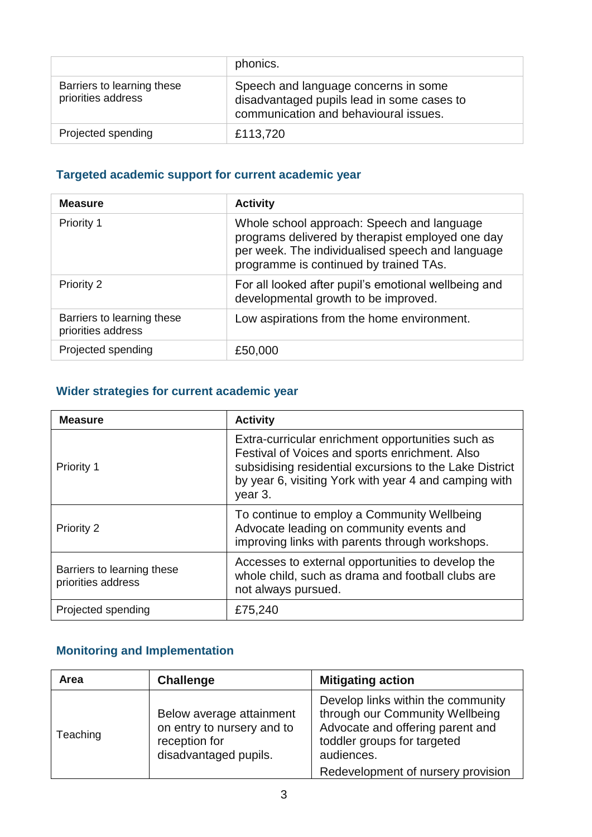|                                                  | phonics.                                                                                                                    |
|--------------------------------------------------|-----------------------------------------------------------------------------------------------------------------------------|
| Barriers to learning these<br>priorities address | Speech and language concerns in some<br>disadvantaged pupils lead in some cases to<br>communication and behavioural issues. |
| Projected spending                               | £113,720                                                                                                                    |

## **Targeted academic support for current academic year**

| <b>Measure</b>                                   | <b>Activity</b>                                                                                                                                                                              |
|--------------------------------------------------|----------------------------------------------------------------------------------------------------------------------------------------------------------------------------------------------|
| Priority 1                                       | Whole school approach: Speech and language<br>programs delivered by therapist employed one day<br>per week. The individualised speech and language<br>programme is continued by trained TAs. |
| <b>Priority 2</b>                                | For all looked after pupil's emotional wellbeing and<br>developmental growth to be improved.                                                                                                 |
| Barriers to learning these<br>priorities address | Low aspirations from the home environment.                                                                                                                                                   |
| Projected spending                               | £50,000                                                                                                                                                                                      |

## **Wider strategies for current academic year**

| <b>Measure</b>                                   | <b>Activity</b>                                                                                                                                                                                                                    |
|--------------------------------------------------|------------------------------------------------------------------------------------------------------------------------------------------------------------------------------------------------------------------------------------|
| Priority 1                                       | Extra-curricular enrichment opportunities such as<br>Festival of Voices and sports enrichment. Also<br>subsidising residential excursions to the Lake District<br>by year 6, visiting York with year 4 and camping with<br>year 3. |
| <b>Priority 2</b>                                | To continue to employ a Community Wellbeing<br>Advocate leading on community events and<br>improving links with parents through workshops.                                                                                         |
| Barriers to learning these<br>priorities address | Accesses to external opportunities to develop the<br>whole child, such as drama and football clubs are<br>not always pursued.                                                                                                      |
| Projected spending                               | £75,240                                                                                                                                                                                                                            |

## **Monitoring and Implementation**

| Area     | <b>Challenge</b>                                                                                 | <b>Mitigating action</b>                                                                                                                                                                     |
|----------|--------------------------------------------------------------------------------------------------|----------------------------------------------------------------------------------------------------------------------------------------------------------------------------------------------|
| Teaching | Below average attainment<br>on entry to nursery and to<br>reception for<br>disadvantaged pupils. | Develop links within the community<br>through our Community Wellbeing<br>Advocate and offering parent and<br>toddler groups for targeted<br>audiences.<br>Redevelopment of nursery provision |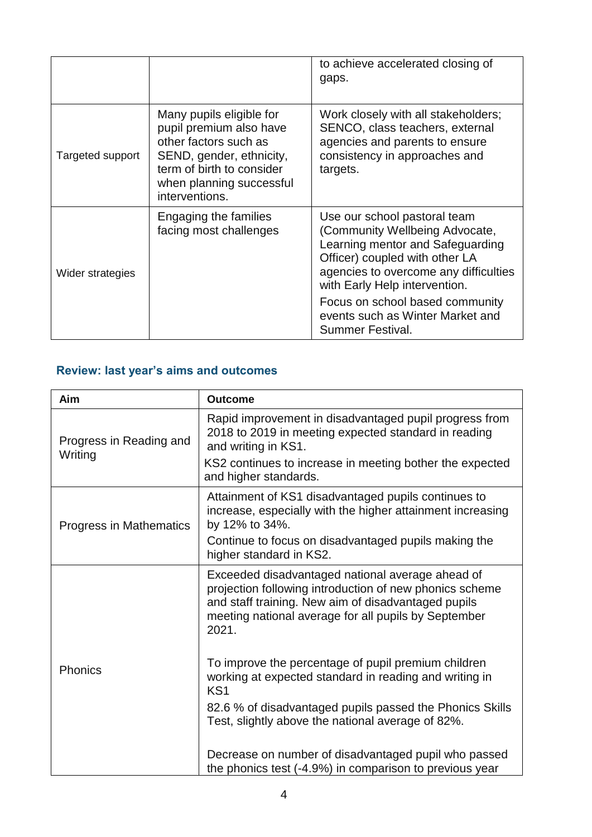|                  |                                                                                                                                                                                     | to achieve accelerated closing of<br>gaps.                                                                                                                                                                                                                                                                |
|------------------|-------------------------------------------------------------------------------------------------------------------------------------------------------------------------------------|-----------------------------------------------------------------------------------------------------------------------------------------------------------------------------------------------------------------------------------------------------------------------------------------------------------|
| Targeted support | Many pupils eligible for<br>pupil premium also have<br>other factors such as<br>SEND, gender, ethnicity,<br>term of birth to consider<br>when planning successful<br>interventions. | Work closely with all stakeholders;<br>SENCO, class teachers, external<br>agencies and parents to ensure<br>consistency in approaches and<br>targets.                                                                                                                                                     |
| Wider strategies | Engaging the families<br>facing most challenges                                                                                                                                     | Use our school pastoral team<br>(Community Wellbeing Advocate,<br>Learning mentor and Safeguarding<br>Officer) coupled with other LA<br>agencies to overcome any difficulties<br>with Early Help intervention.<br>Focus on school based community<br>events such as Winter Market and<br>Summer Festival. |

## **Review: last year's aims and outcomes**

| Aim                                | <b>Outcome</b>                                                                                                                                                                                                                      |
|------------------------------------|-------------------------------------------------------------------------------------------------------------------------------------------------------------------------------------------------------------------------------------|
| Progress in Reading and<br>Writing | Rapid improvement in disadvantaged pupil progress from<br>2018 to 2019 in meeting expected standard in reading<br>and writing in KS1.                                                                                               |
|                                    | KS2 continues to increase in meeting bother the expected<br>and higher standards.                                                                                                                                                   |
| Progress in Mathematics            | Attainment of KS1 disadvantaged pupils continues to<br>increase, especially with the higher attainment increasing<br>by 12% to 34%.                                                                                                 |
|                                    | Continue to focus on disadvantaged pupils making the<br>higher standard in KS2.                                                                                                                                                     |
| <b>Phonics</b>                     | Exceeded disadvantaged national average ahead of<br>projection following introduction of new phonics scheme<br>and staff training. New aim of disadvantaged pupils<br>meeting national average for all pupils by September<br>2021. |
|                                    | To improve the percentage of pupil premium children<br>working at expected standard in reading and writing in<br>KS <sub>1</sub>                                                                                                    |
|                                    | 82.6 % of disadvantaged pupils passed the Phonics Skills<br>Test, slightly above the national average of 82%.                                                                                                                       |
|                                    | Decrease on number of disadvantaged pupil who passed<br>the phonics test (-4.9%) in comparison to previous year                                                                                                                     |